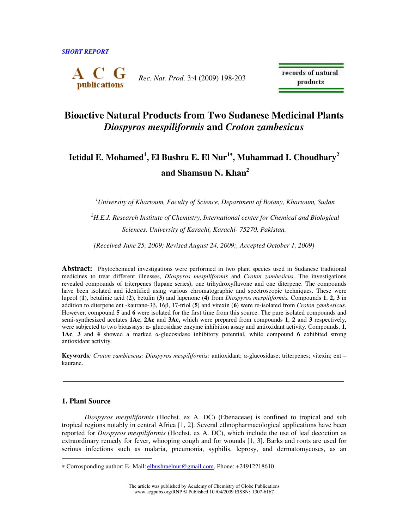

*Rec. Nat. Prod*. 3:4 (2009) 198-203

records of natural products

# **Bioactive Natural Products from Two Sudanese Medicinal Plants**  *Diospyros mespiliformis* **and** *Croton zambesicus*

# **Ietidal E. Mohamed<sup>1</sup> , El Bushra E. El Nur<sup>1</sup>**<sup>∗</sup>**, Muhammad I. Choudhary<sup>2</sup> and Shamsun N. Khan<sup>2</sup>**

*<sup>1</sup>University of Khartoum, Faculty of Science, Department of Botany, Khartoum, Sudan* 

*<sup>2</sup>H.E.J. Research Institute of Chemistry, International center for Chemical and Biological Sciences, University of Karachi, Karachi- 75270, Pakistan.* 

*(Received June 25, 2009; Revised August 24, 2009;, Accepted October 1, 2009)* 

**Abstract:** Phytochemical investigations were performed in two plant species used in Sudanese traditional medicines to treat different illnesses, *Diospyros mespiliformis* and *Croton zambesicus*. The investigations revealed compounds of triterpenes (lupane series), one trihydroxyflavone and one diterpene. The compounds have been isolated and identified using various chromatographic and spectroscopic techniques. These were lupeol (**1**), betulinic acid (**2**), betulin (**3**) and lupenone (**4**) from *Diospyros mespiliformis.* Compounds **1**, **2, 3** in addition to diterpene ent -kaurane-3β, 16β, 17-triol (**5**) and vitexin (**6**) were re-isolated from *Croton zambesicus*. However, compound **5** and **6** were isolated for the first time from this source. The pure isolated compounds and semi-synthesized acetates **1Ac**, **2Ac** and **3Ac,** which were prepared from compounds **1**, **2** and **3** respectively, were subjected to two bioassays: α- glucosidase enzyme inhibition assay and antioxidant activity. Compounds, **1**, **1Ac**, **3** and **4** showed a marked α-glucosidase inhibitory potential, while compound **6** exhibited strong antioxidant activity.

**Keywords***: Croton zambiescus; Diospyros mespiliformis;* antioxidant; α*-*glucosidase; triterpenes; vitexin; ent – kaurane.

## **1. Plant Source**

 $\overline{a}$ 

*Diospyros mespiliformis* (Hochst. ex A. DC) (Ebenaceae) is confined to tropical and sub tropical regions notably in central Africa [1, 2]. Several ethnopharmacological applications have been reported for *Diospyros mespiliformis* (Hochst. ex A. DC), which include the use of leaf decoction as extraordinary remedy for fever, whooping cough and for wounds [1, 3]. Barks and roots are used for serious infections such as malaria, pneumonia, syphilis, leprosy, and dermatomycoses, as an

<sup>∗</sup> Corrosponding author: E- Mail: elbushraelnur@gmail.com, Phone: +24912218610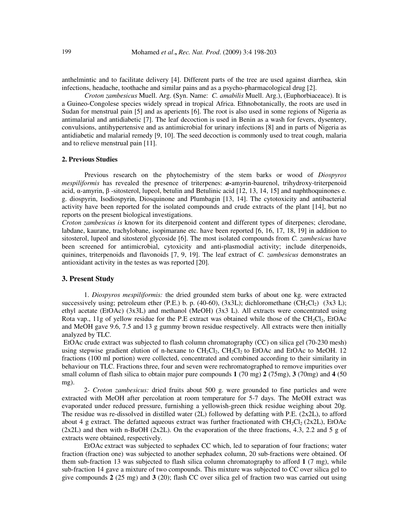anthelmintic and to facilitate delivery [4]. Different parts of the tree are used against diarrhea, skin infections, headache, toothache and similar pains and as a psycho-pharmacological drug [2].

*Croton zambesicus* Muell. Arg. **(**Syn. Name: *C. amabilis* Muell. Arg.), (Euphorbiaceace). It is a Guineo-Congolese species widely spread in tropical Africa. Ethnobotanically, the roots are used in Sudan for menstrual pain [5] and as aperients [6]. The root is also used in some regions of Nigeria as antimalarial and antidiabetic [7]. The leaf decoction is used in Benin as a wash for fevers, dysentery, convulsions, antihypertensive and as antimicrobial for urinary infections [8] and in parts of Nigeria as antidiabetic and malarial remedy [9, 10]. The seed decoction is commonly used to treat cough, malaria and to relieve menstrual pain [11].

#### **2. Previous Studies**

Previous research on the phytochemistry of the stem barks or wood of *Diospyros mespiliformis* has revealed the presence of triterpenes: *a-*amyrin-baurenol, trihydroxy-triterpenoid acid, α-amyrin, β -sitosterol, lupeol, betulin and Betulinic acid [12, 13, 14, 15] and naphthoquinones e. g. diospyrin, Isodiospyrin, Diosquinone and Plumbagin [13, 14]. The cytotoxicity and antibacterial activity have been reported for the isolated compounds and crude extracts of the plant [14], but no reports on the present biological investigations.

*Croton zambesicus is* known for its diterpenoid content and different types of diterpenes; clerodane, labdane, kaurane, trachylobane, isopimarane etc. have been reported [6, 16, 17, 18, 19] in addition to sitosterol, lupeol and sitosterol glycoside [6]. The most isolated compounds from *C. zambesicus* have been screened for antimicrobial, cytoxicity and anti-plasmodial activity; include diterpenoids, quinines, triterpenoids and flavonoids [7, 9, 19]. The leaf extract of *C. zambesicus* demonstrates an antioxidant activity in the testes as was reported [20].

#### **3. Present Study**

1. *Diospyros mespiliformis:* the dried grounded stem barks of about one kg. were extracted successively using; petroleum ether (P.E.) b. p. (40-60), (3x3L); dichloromethane (CH<sub>2</sub>Cl<sub>2</sub>) (3x3 L); ethyl acetate (EtOAc) (3x3L) and methanol (MeOH) (3x3 L). All extracts were concentrated using Rota vap.,  $11g$  of yellow residue for the P.E extract was obtained while those of the CH<sub>2</sub>Cl<sub>2</sub>, EtOAc and MeOH gave 9.6, 7.5 and 13 g gummy brown residue respectively. All extracts were then initially analyzed by TLC.

 EtOAc crude extract was subjected to flash column chromatography (CC) on silica gel (70-230 mesh) using stepwise gradient elution of n-hexane to  $CH_2Cl_2$ ,  $CH_2Cl_2$  to EtOAc and EtOAc to MeOH. 12 fractions (100 ml portion) were collected, concentrated and combined according to their similarity in behaviour on TLC. Fractions three, four and seven were rechromatographed to remove impurities over small column of flash silica to obtain major pure compounds **1** (70 mg) **2** (75mg), **3** (70mg) and **4** (50 mg).

2- *Croton zambesicus:* dried fruits about 500 g. were grounded to fine particles and were extracted with MeOH after percolation at room temperature for 5-7 days. The MeOH extract was evaporated under reduced pressure, furnishing a yellowish-green thick residue weighing about 20g. The residue was re-dissolved in distilled water (2L) followed by defatting with P.E. (2x2L), to afford about 4 g extract. The defatted aqueous extract was further fractionated with  $CH_2Cl_2 (2x2L)$ , EtOAc  $(2x2L)$  and then with n-BuOH (2x2L). On the evaporation of the three fractions, 4.3, 2.2 and 5 g of extracts were obtained, respectively.

 EtOAc extract was subjected to sephadex CC which, led to separation of four fractions; water fraction (fraction one) was subjected to another sephadex column, 20 sub-fractions were obtained. Of them sub-fraction 13 was subjected to flash silica column chromatography to afford **1** (7 mg), while sub-fraction 14 gave a mixture of two compounds. This mixture was subjected to CC over silica gel to give compounds **2** (25 mg) and **3** (20); flash CC over silica gel of fraction two was carried out using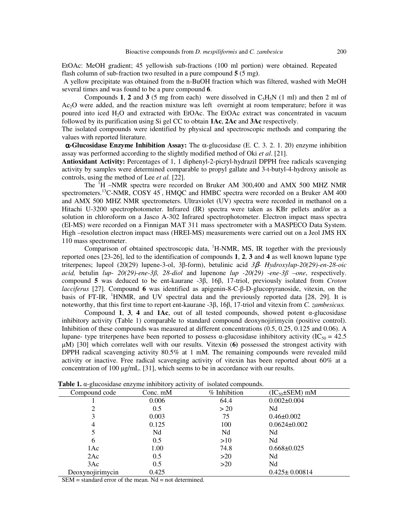EtOAc: MeOH gradient; 45 yellowish sub-fractions (100 ml portion) were obtained. Repeated flash column of sub-fraction two resulted in a pure compound **5** (5 mg**)**.

 A yellow precipitate was obtained from the n-BuOH fraction which was filtered, washed with MeOH several times and was found to be a pure compound **6**.

Compounds **1**, **2** and **3** (5 mg from each) were dissolved in  $C_5H_5N$  (1 ml) and then 2 ml of Ac2O were added, and the reaction mixture was left overnight at room temperature; before it was poured into iced H2O and extracted with EtOAc. The EtOAc extract was concentrated in vacuum followed by its purification using Si gel CC to obtain **1Ac**, **2Ac** and **3Ac** respectively.

The isolated compounds were identified by physical and spectroscopic methods and comparing the values with reported literature.

 α**-Glucosidase Enzyme Inhibition Assay:** The α-glucosidase (E. C. 3. 2. 1. 20) enzyme inhibition assay was performed according to the slightly modified method of Oki *et al*. [21].

**Antioxidant Activity:** Percentages of 1, 1 diphenyl-2-picryl-hydrazil DPPH free radicals scavenging activity by samples were determined comparable to propyl gallate and 3-t-butyl-4-hydroxy anisole as controls, using the method of Lee *et al.* [22].

The <sup>1</sup>H –NMR spectra were recorded on Bruker AM 300,400 and AMX 500 MHZ NMR spectrometers.<sup>13</sup>C-NMR, COSY 45<sup>°</sup>, HMQC and HMBC spectra were recorded on a Bruker AM 400 and AMX 500 MHZ NMR spectrometers. Ultraviolet (UV) spectra were recorded in methanol on a Hitachi U-3200 spectrophotometer. Infrared (IR) spectra were taken as KBr pellets and/or as a solution in chloroform on a Jasco A-302 Infrared spectrophotometer. Electron impact mass spectra (EI-MS) were recorded on a Finnigan MAT 311 mass spectrometer with a MASPECO Data System. High –resolution electron impact mass (HREI-MS) measurements were carried out on a Jeol JMS HX 110 mass spectrometer.

Comparison of obtained spectroscopic data,  ${}^{1}$ H-NMR, MS, IR together with the previously reported ones [23-26], led to the identification of compounds **1**, **2**, **3** and **4** as well known lupane type triterpenes; lupeol (20(29) lupene-3-ol, 3β-form), betulinic acid *3*β*- Hydroxylup-20(29)-en-28-oic acid,* betulin *lup- 20(29)-ene-3*β*, 28-diol* and lupenone *lup -20(29) -ene-3*β *–one*, respectively. compound **5** was deduced to be ent-kaurane -3β, 16β, 17-triol, previously isolated from *Croton lacciferus* [27]. Compound **6** was identified as apigenin-8-C-β-D-glucopyranoside, vitexin, on the basis of FT-IR,  $\mathrm{H NMR}$ , and UV spectral data and the previously reported data [28, 29]. It is noteworthy, that this first time to report ent-kaurane -3β, 16β, 17-triol and vitexin from *C. zambesicus.*

Compound **1, 3, 4** and **1Ac**, out of all tested compounds, showed potent  $\alpha$ -glucosidase inhibitory activity (Table 1) comparable to standard compound deoxynojirimycin (positive control). Inhibition of these compounds was measured at different concentrations (0.5, 0.25, 0.125 and 0.06). A lupane- type triterpenes have been reported to possess  $\alpha$ -glucosidase inhibitory activity (IC<sub>50</sub> = 42.5) µM) [30] which correlates well with our results. Vitexin (**6)** possessed the strongest activity with DPPH radical scavenging activity 80.5% at 1 mM. The remaining compounds were revealed mild activity or inactive. Free radical scavenging activity of vitexin has been reported about 60% at a concentration of 100  $\mu$ g/mL. [31], which seems to be in accordance with our results.

| <b>Tuble 11</b> w gracositatic charging immortally activity of notation compounds. |              |                        |  |
|------------------------------------------------------------------------------------|--------------|------------------------|--|
| Conc. mM                                                                           | % Inhibition | $(IC_{50} \pm SEM)$ mM |  |
| 0.006                                                                              | 64.4         | $0.002 \pm 0.004$      |  |
| 0.5                                                                                | >20          | Nd                     |  |
| 0.003                                                                              | 75           | $0.46 \pm 0.002$       |  |
| 0.125                                                                              | 100          | $0.0624 \pm 0.002$     |  |
| Nd                                                                                 | Nd           | Nd                     |  |
| 0.5                                                                                | >10          | Nd                     |  |
| 1.00                                                                               | 74.8         | $0.668 \pm 0.025$      |  |
| 0.5                                                                                | >20          | Nd                     |  |
| 0.5                                                                                | >20          | Nd                     |  |
| 0.425                                                                              |              | $0.425 \pm 0.00814$    |  |
|                                                                                    |              |                        |  |

 **Table 1.** α-glucosidase enzyme inhibitory activity of isolated compounds.

 $SEM = standard error of the mean. Nd = not determined.$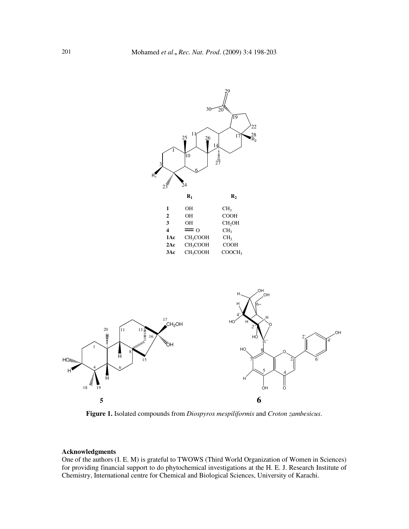

**Figure 1.** Isolated compounds from *Diospyros mespiliformis* and *Croton zambesicus*.

## **Acknowledgments**

One of the authors (I. E. M) is grateful to TWOWS (Third World Organization of Women in Sciences) for providing financial support to do phytochemical investigations at the H. E. J. Research Institute of Chemistry, International centre for Chemical and Biological Sciences, University of Karachi.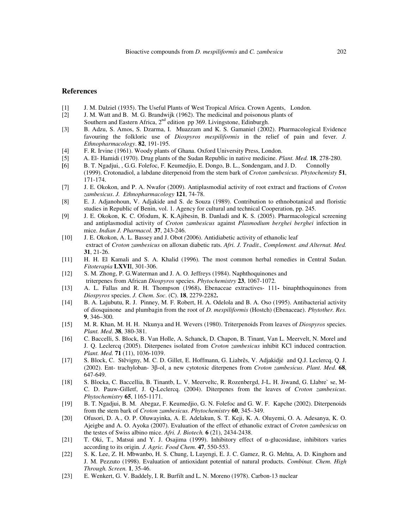#### **References**

- [1] J. M. Dalziel (1935). The Useful Plants of West Tropical Africa. Crown Agents, London.
- [2] J. M. Watt and B. M. G. Brandwijk (1962). The medicinal and poisonous plants of Southern and Eastern Africa,  $2<sup>nd</sup>$  edition pp 369. Livingstone, Edinburgh.
- [3] B. Adzu, S. Amos, S. Dzarma, I. Muazzam and K. S. Gamaniel (2002). Pharmacological Evidence favouring the folkloric use of *Diospyros mespiliformis* in the relief of pain and fever. *J. Ethnopharmacology*. **82**, 191-195.
- [4] F. R. Irvine (1961). Woody plants of Ghana. Oxford University Press, London.
- [5] A. El- Hamidi (1970). Drug plants of the Sudan Republic in native medicine. *Plant. Med.* **18**, 278-280.
- **[**6] B. T. Ngadjui, , G.G. Folefoc, F. Keumedjio, E. Dongo, B. L., Sondengam, and J. D. Connolly (1999). Crotonadiol, a labdane diterpenoid from the stem bark of *Croton zambesicus*. *Phytochemisty* **51**, 171-174.
- [7] J. E. Okokon, and P. A. Nwafor (2009). Antiplasmodial activity of root extract and fractions of *Croton zambesicus*. *J. Ethnopharmacology* **121**, 74-78.
- [8] E. J. Adjanohoun, V. Adjakide and S. de Souza (1989). Contribution to ethnobotanical and floristic studies in Republic of Benin, vol. 1. Agency for cultural and technical Cooperation, pp. 245.
- [9] J. E. Okokon, K. C. Ofodum, K. K.Ajibesin, B. Danladi and K. S. (2005). Pharmacological screening and antiplasmodial activity of *Croton zambesicus* against *Plasmodium berghei berghei* infection in mice. *Indian J. Pharmacol.* **37**, 243-246.
- [10] J. E. Okokon, A. L. Bassey and J. Obot *(*2006). Antidiabetic activity of ethanolic leaf extract of *Croton zambesicus* on alloxan diabetic rats. *Afri. J. Tradit., Complement. and Alternat. Med.*  **31**, 21-26.
- [11] H. H. El Kamali and S. A. Khalid (1996)*.* The most common herbal remedies in Central Sudan. *Fitoterapia* **LXVI**I, 301-306.
- [12] S. M. Zhong, P. G.Waterman and J. A. O. Jeffreys (1984). Naphthoquinones and triterpenes from African *Diospyros* species. *Phytochemistry* **23**, 1067-1072.
- [13] A. L. Fallas and R. H. Thompson (1968)**.** Ebenaceae extractives- 111binaphthoquinones from *Diospyros* species. *J. Chem. Soc*. (C). **18**, 2279-2282**.**
- [14] B. A. Lajubutu, R. J. Pinney, M. F. Robert, H. A. Odelola and B. A. Oso (1995). Antibacterial activity of diosquinone and plumbagin from the root of *D. mespiliformis* (Hostch) (Ebenaceae). *Phytother. Res.*  **9**, 346–300.
- [15] M. R. Khan, M. H. H. Nkunya and H. Wevers (1980). Triterpenoids From leaves of *Diospyros* species. *Plant. Med*. **38**, 380-381.
- [16] C. Baccelli, S. Block, B. Van Holle, A. Schanck, D. Chapon, B. Tinant, Van L. Meervelt, N. Morel and J. Q. Leclercq (2005). Diterpenes isolated from *Croton zambesicus* inhibit KCl induced contraction. *Plant. Med.* **71** (11), 1036-1039.
- [17] S. Block, C. Stẽvigny, M. C. D. Gillet, E. Hoffmann, G. Liabrẽs, V. Adjakidjẻ and Q.J. Leclercq, Q. J. (2002). Ent- trachyloban- 3β-ol, a new cytotoxic diterpenes from *Croton zambesicus*. *Plant. Med*. **68**, 647-649.
- [18] S. Blocka, C. Baccellia, B. Tinantb, L. V. Meerveltc, R. Rozenbergd, J-L. H. Jiwand, G. Llabre` se, M-C. D. Pauw-Gilletf, J. Q-Leclercq. (2004). Diterpenes from the leaves of *Croton zambesicus*. *Phytochemistry* **65**, 1165-1171.
- [19] B. T. Ngadjui, B. M. Abegaz, F. Keumedjio, G. N. Folefoc and G. W. F. Kapche (2002). Diterpenoids from the stem bark of *Croton zambesicus*. *Phytochemistry* **60**, 345–349.
- [20] Ofusori, D. A., O. P. Oluwayinka, A. E. Adelakun, S. T. Keji, K. A. Oluyemi, O. A. Adesanya, K. O. Ajeigbe and A. O. Ayoka (2007). Evaluation of the effect of ethanolic extract of *Croton zambesicus* on the testes of Swiss albino mice. *Afri. J. Biotech.* **6** (21), 2434-2438.
- [21] T. Oki, T., Matsui and Y. J. Osajima (1999). Inhibitory effect of α-glucosidase, inhibitors varies according to its origin*. J. Agric. Food Chem.* **47**, 550-553.
- [22] S. K. Lee, Z. H. Mbwanbo, H. S. Chung, L Luyengi, E. J. C. Gamez, R. G. Mehta, A. D. Kinghorn and J. M. Pezzuto (1998). Evaluation of antioxidant potential of natural products. *Combinat. Chem. High Through. Screen.* **1**, 35-46.
- [23] E. Wenkert, G. V. Baddely, I. R. Burfilt and L. N. Moreno (1978). Carbon-13 nuclear